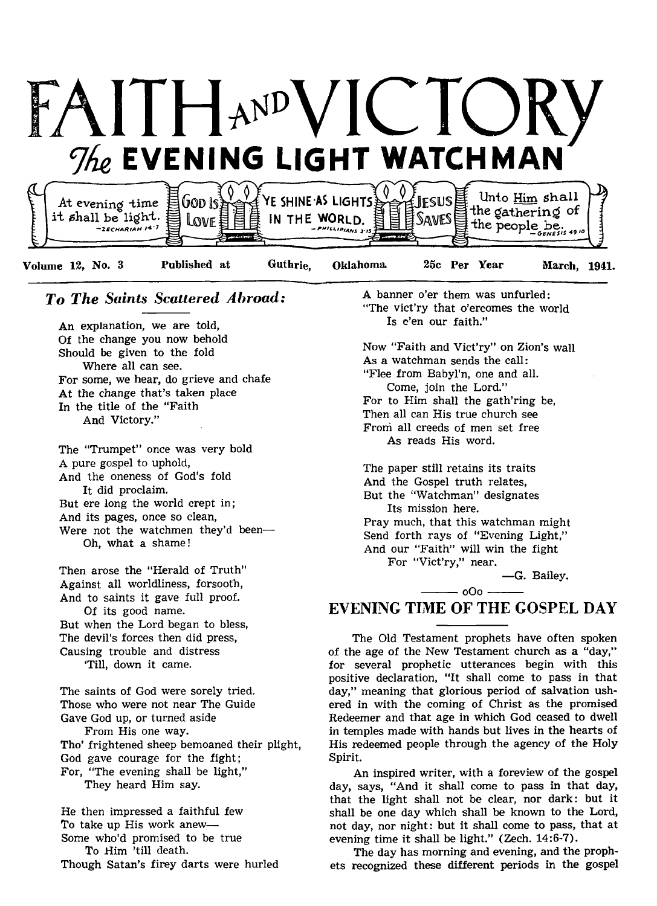

# *To The Saints Scattered Abroad:*

An explanation, we are told, Of the change you now behold Should be given to the fold Where all can see. For some, we hear, do grieve and chafe At the change that's taken place In the title of the "Faith And Victory."

The "Trumpet" once was very bold A pure gospel to uphold, And the oneness of God's fold It did proclaim. But ere long the world crept in; And its pages, once so clean, Were not the watchmen they'd been— Oh, what a shame!

Then arose the "Herald of Truth" Against all worldliness, forsooth, And to saints it gave full proof. Of its good name. But when the Lord began to bless, The devil's forces then did press, Causing trouble and distress 'Till, down it came.

The saints of God were sorely tried. Those who were not near The Guide Gave God up, or turned aside From His one way. Tho' frightened sheep bemoaned their plight, God gave courage for the fight; For, "The evening shall be light," They heard Him say.

He then impressed a faithful few To take up His work anew— Some who'd promised to be true To Him 'till death. Though Satan's firey darts were hurled A banner o'er them was unfurled: "The vict'ry that o'ercomes the world Is e'en our faith."

Now "Faith and Vict'ry" on Zion's wall As a watchman sends the call: "Flee from Babyl'n, one and all. Come, join the Lord." For to Him shall the gath'ring be, Then all can His true church see From all creeds of men set free As reads His word.

The paper still retains its traits And the Gospel truth relates, But the "Watchman" designates Its mission here. Pray much, that this watchman might Send forth rays of "Evening Light," And our "Faith" will win the fight For "Vict'ry," near.

— G. Bailey.

# $-$  000  $-$ EVENING TIME OF THE GOSPEL DAY

The Old Testament prophets have often spoken of the age of the New Testament church as a "day," for several prophetic utterances begin with this positive declaration, "It shall come to pass in that day," meaning that glorious period of salvation ushered in with the coming of Christ as the promised Redeemer and that age in which God ceased to dwell in temples made with hands but lives in the hearts of His redeemed people through the agency of the Holy Spirit.

An inspired writer, with a foreview of the gospel day, says, "And it shall come to pass in that day, that the light shall not be clear, nor dark: but it shall be one day which shall be known to the Lord, not day, nor night: but it shall come to pass, that at evening time it shall be light." (Zech. 14:6-7).

The day has morning and evening, and the prophets recognized these different periods in the gospel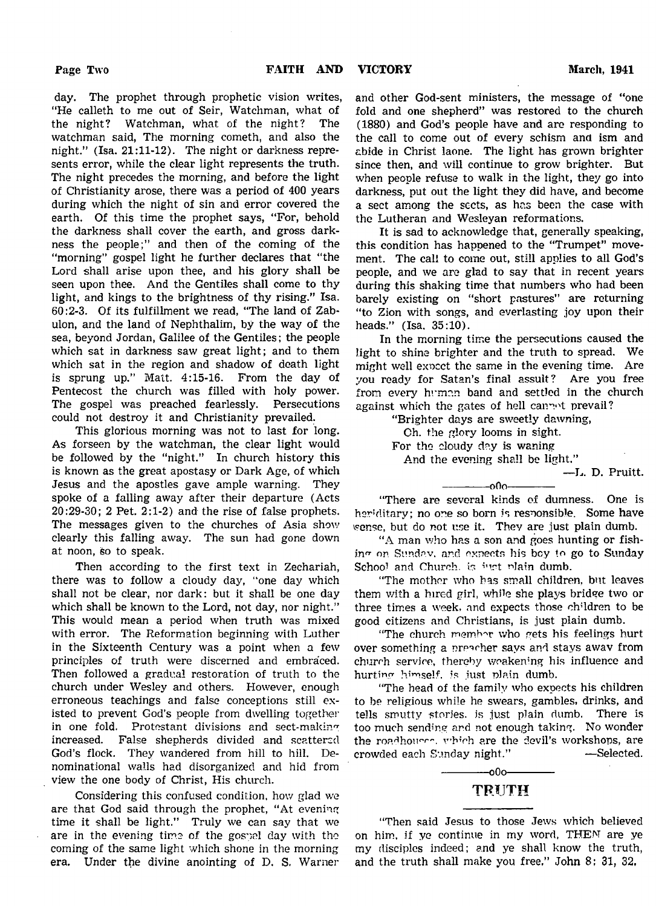day. The prophet through prophetic vision writes, "He calleth to me out of Seir, Watchman, what of the night? Watchman, what of the night? The watchman said, The morning cometh, and also the night." (Isa. 21:11-12). The night or darkness represents error, while the clear light represents the truth. The night precedes the morning, and before the light of Christianity arose, there was a period of 400 years during which the night of sin and error covered the earth. Of this time the prophet says, "For, behold the darkness shall cover the earth, and gross darkness the people;" and then of the coming of the "morning" gospel light he further declares that "the Lord shall arise upon thee, and his glory shall be seen upon thee. And the Gentiles shall come to thy light, and kings to the brightness of thy rising." Isa. 60:2-3. Of its fulfillment we read, "The land of Zabulon, and the land of Nephthalim, by the way of the sea, beyond Jordan, Galilee of the Gentiles; the people which sat in darkness saw great light; and to them which sat in the region and shadow of death light is sprung up." Matt. 4:15-16. From the day of Pentecost the church was filled with holy power. The gospel was preached fearlessly. Persecutions could not destroy it and Christianity prevailed.

This glorious morning was not to last for long. As forseen by the watchman, the clear light would be followed by the "night." In church history this is known as the great apostasy or Dark Age, of which Jesus and the apostles gave ample warning. They spoke of a falling away after their departure (Acts 20:29-30; 2 Pet. 2:1-2) and the rise of false prophets. The messages given to the churches of Asia show clearly this falling away. The sun had gone down at noon, so to speak.

Then according to the first text in Zechariah, there was to follow a cloudy day, "one day which shall not be clear, nor dark: but it shall be one day which shall be known to the Lord, not day, nor night." This would mean a period when truth was mixed with error. The Reformation beginning with Luther in the Sixteenth Century was a point when a few principles of truth were discerned and embraced. Then followed a gradual restoration of truth to the church under Wesley and others. However, enough erroneous teachings and false conceptions still existed to prevent God's people from dwelling together in one fold. Protestant divisions and sect-making increased. False shepherds divided and scattered God's flock. They wandered from hill to hill. Denominational walls had disorganized and hid from view the one body of Christ, His church.

Considering this confused condition, how glad we are that God said through the prophet, "At evening time it shall be light." Truly we can say that we are in the evening time of the gospel day with the coming of the same light which shone in the morning era. Under the divine anointing of D. S. Warner since then, and will continue to grow brighter. But when people refuse to walk in the light, they go into darkness, put out the light they did have, and become a sect among the sects, as has been the case with the Lutheran and Wesleyan reformations.

It is sad to acknowledge that, generally speaking, this condition has happened to the "Trumpet" movement. The call to come out, still applies to all God's people, and we are glad to say that in recent years during this shaking time that numbers who had been barely existing on "short pastures" are returning "to Zion with songs, and everlasting joy upon their heads." (Isa. 35:10).

In the morning time the persecutions caused the light to shine brighter and the truth to spread. We might well exocct the same in the evening time. Are you ready for Satan's final assult? Are you free from every human band and settled in the church against which the gates of hell cannot prevail?

> "Brighter days are sweetly dawning, Ch. the glory looms in sight. For the cloudy day is waning And the evening shall be light."

—L. D. Pruitt.

"There are several kinds of dumness. One is her'ditary; no one so born is responsible. Some have vsense, but do not use it. They are just plain dumb.

 $-000-$ 

"A man who has a son and goes hunting or fishing on Sunday, and expects his boy to go to Sunday School and Church, is just plain dumb.

"The mother who has small children, but leaves them with a hired girl, while she plays bridge two or three times a week, and expects those children to be good citizens and Christians, is just plain dumb.

"The church member who gets his feelings hurt over something a preacher says and stays awav from church service, thereby weakening his influence and hurting himself, is just plain dumb.

"The head of the family who expects his children to be religious while he swears, gambles, drinks, and tells smutty stories, is just plain dumb. There is too much sending and not enough taking. No wonder the roadhoures, which are the devil's workshops, are crowded each Sunday night." — Selected.

# $-000-$ TRUTH

"Then said Jesus to those Jews which believed on him, if ye continue in my word, THEM are ye my disciples indeed; and ye shall know the truth, and the truth shall make you free." John 8; 31, 32,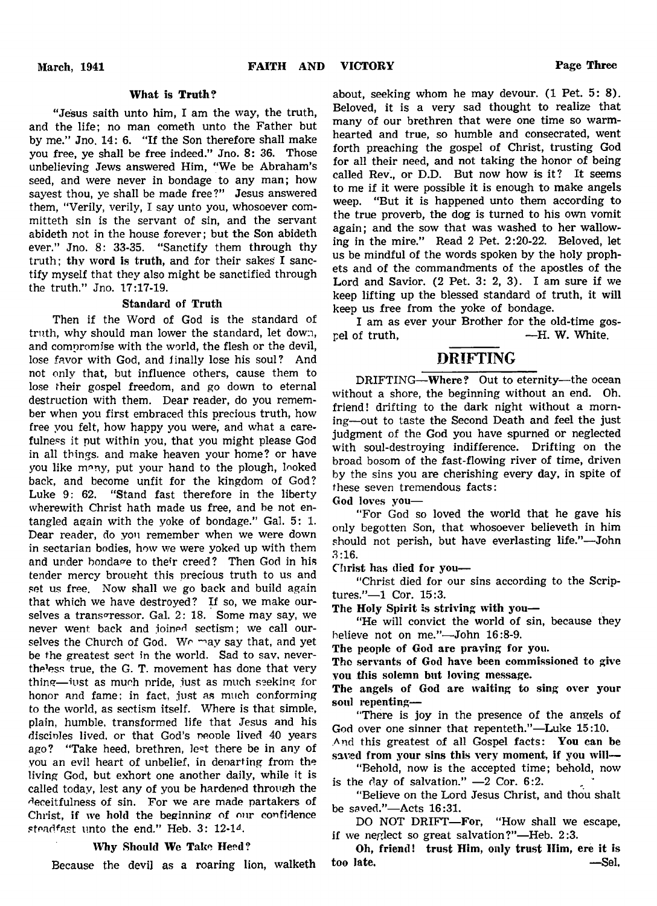# What is Truth?

"Jesus saith unto him, I am the way, the truth, and the life; no man cometh unto the Father but by me." Jno. 14: 6. "If the Son therefore shall make you free, ye shall be free indeed." Jno. 8: 36. Those unbelieving Jews answered Him, "We be Abraham's seed, and were never in bondage to any man; how sayest thou, ye shall be made free?" Jesus answered them, "Verily, verily, I say unto you, whosoever committeth sin is the servant of sin, and the servant abideth not in the house forever; but the Son abideth ever." Jno. 8: 33-35. "Sanctify them through thy truth; thy word is truth, and for their sakes I sanctify myself that they also might be sanctified through the truth." Jno. 17:17-19.

# Standard of Truth

Then if the Word of God is the standard of truth, why should man lower the standard, let down, and compromise with the world, the flesh or the devil, lose favor with God, and iinally lose his soul? And not only that, but influence others, cause them to lose their gospel freedom, and go down to eternal destruction with them. Dear reader, do you remember when you first embraced this precious truth, how free you felt, how happy you were, and what a carefulness it put within you, that you might please God in all things, and make heaven your home? or have you like many, put your hand to the plough, looked back, and become unfit for the kingdom of God? Luke 9: 62. "Stand fast therefore in the liberty wherewith Christ hath made us free, and be not entangled again with the yoke of bondage." Gal. 5: 1. Dear reader, do you remember when we were down in sectarian bodies, how we were yoked up with them and under bondage to their creed? Then God in his tender mercy brought this precious truth to us and set us free. Now shall we go back and build again that which we have destroyed? If so, we make ourselves a transgressor. Gal. 2: 18. Some may say, we never went back and joined sectism; we call ourselves the Church of God. We may say that, and yet be the greatest sect in the world. Sad to sav, neverthe'ess true, the G. T. movement has done that very thing— iust as much pride, iust as much seeking for honor and fame: in fact, just as much conforming to the world, as sectism itself. Where is that simple, plain, humble, transformed life that Jesus and his discinles lived, or that God's people lived 40 years ago? "Take heed, brethren, le^t there be in any of you an evil heart of unbelief, in departing from the living God, but exhort one another daily, while it is called today, lest any of you be hardened through the deceitfulness of sin. For we are made partakers of Christ, if we hold the beginning of our confidence steadfast unto the end." Heb. 3: 12-14.

## Why Should Wc Take Heed?

Because the devil as a roaring lion, walketh

about, seeking whom he may devour. (1 Pet. 5: 8). Beloved, it is a very sad thought to realize that many of our brethren that were one time so warmhearted and true, so humble and consecrated, went forth preaching the gospel of Christ, trusting God for all their need, and not taking the honor of being called Rev., or D.D. But now how is it? It seems to me if it were possible it is enough to make angels weep. "But it is happened unto them according to the true proverb, the dog is turned to his own vomit again; and the sow that was washed to her wallowing in the mire." Read 2 Pet. 2:20-22. Beloved, let us be mindful of the words spoken by the holy prophets and of the commandments of the apostles of the Lord and Savior. (2 Pet. 3: 2, 3). I am sure if we keep lifting up the blessed standard of truth, it will keep us free from the yoke of bondage.

I am as ever your Brother for the old-time gospel of truth, —H. W. White.

# DRIFTING

DRIFTING—Where? Out to eternity—the ocean without a shore, the beginning without an end. Oh. friend! drifting to the dark night without a morning—out to taste the Second Death and feel the just judgment of the God you have spurned or neglected with soul-destroying indifference. Drifting on the broad bosom of the fast-flowing river of time, driven by the sins you are cherishing every day, in spite of these seven tremendous facts:

God loves you—

"For God so loved the world that he gave his only begotten Son, that whosoever believeth in him should not perish, but have everlasting life."— John 3:16.

Christ has died for you—

"Christ died for our sins according to the Scriptures."-1 Cor. 15:3.

The Holy Spirit is striving with you—

"He will convict the world of sin, because they believe not on me."— John 16:8-9.

The people of God are praying for you.

The servants of God have been commissioned to give you this solemn but loving message.

The angels of God are waiting to sing over your soul repenting—

"There is joy in the presence of the angels of God over one sinner that repenteth."—Luke 15:10.

And this greatest of all Gospel facts: You can be saved from your sins this very moment, if you will—

"Behold, now is the accepted time; behold, now is the day of salvation."  $-2$  Cor. 6:2.

"Believe on the Lord Jesus Christ, and thou shalt be saved."— Acts 16:31.

DO NOT DRIFT-For, "How shall we escape, if we neglect so great salvation?"— Heb. 2:3.

Oh, friend! trust Him, only trust Him, ere it is too late. — Sel,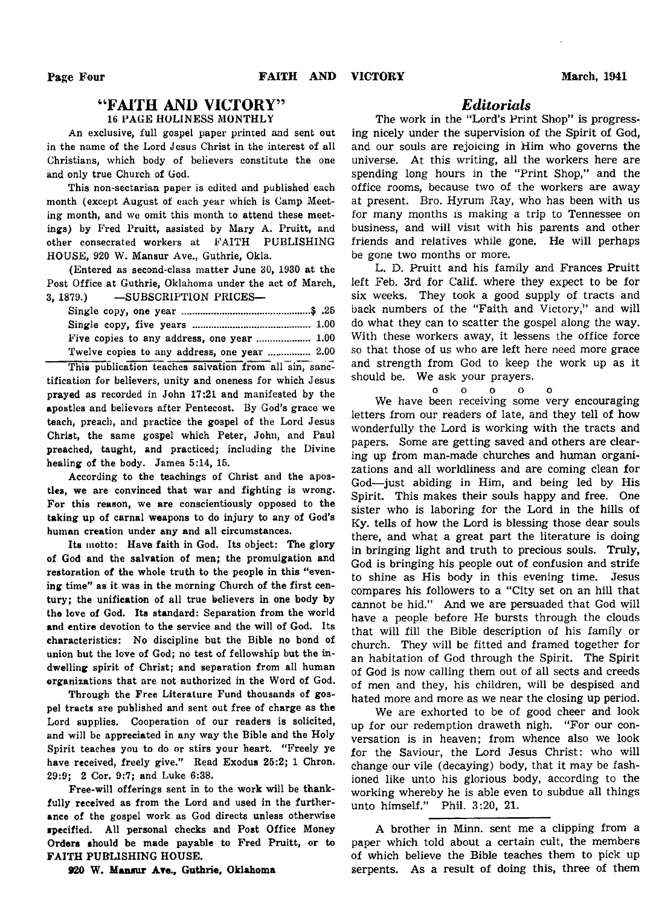# " FAITH AND VICTORY" 16 PAGE HOLINESS MONTHLY

An exclusive, full gospel paper printed and sent out in the name of the Lord Jesus Christ in the interest of all Christians, which body of believers constitute the one and only true Church of God.

This non-sectarian paper is edited and published each month (except August of each year which is Camp Meeting month, and we omit this month to attend these meetings) by Fred Pruitt, assisted by Mary A. Pruitt, and other consecrated workers at FAITH PUBLISHING HOUSE, 920 W. Mansur Ave., Guthrie, Okla.

(Entered as second-class matter June 30, 1930 at the Post Office at Guthrie, Oklahoma under the act of March, 3, 1879.) — SUBSCRIPTION PRICES—

| Twelve copies to any address, one year  2.00 |  |
|----------------------------------------------|--|

This publication teaches salvation from all sin, sanctification for believers, unity and oneness for which Jesus prayed as recorded in John 17:21 and manifested by the apostles and believers after Pentecost. By God's grace we teach, preach, and practice the gospel of the Lord Jesus Christ, the same gospel which Peter, John, and Paul preached, taught, and practiced; including the Divine healing of the body. James 5:14, 15.

According to the teachings of Christ and the apostles, we are convinced that war and fighting is wrong. For this reason, we are conscientiously opposed to the taking up of carnal weapons to do injury to any of God's human creation under any and all circumstances.

Its motto: Have faith in God. Its object: The glory of God and the salvation of men; the promulgation and restoration of the whole truth to the people in this "evening time" as it was in the morning Church of the first century; the unification of all true believers in one body by the love of God. Its standard: Separation from the world and entire devotion to the service and the will of God. Its characteristics: No discipline but the Bible no bond of union but the love of God; no test of fellowship but the indwelling spirit of Christ; and separation from all human organizations that are not authorized in the Word of God.

Through the Free Literature Fund thousands of gospel tracts are published and sent out free of charge as the Lord supplies. Cooperation of our readers is solicited, and will be appreciated in any way the Bible and the Holy Spirit teaches you to do or stirs your heart. "Freely ye have received, freely give." Read Exodus 25:2; 1 Chron. 29:9; 2 Cor. 9:7; and Luke 6:38.

Free-will offerings sent in to the work will be thankfully received as from the Lord and used in the furtherance of the gospel work as God directs unless otherwise specified. All personal checks and Post Office Money Orders should be made payable to Fred Pruitt, or to FAITH PUBLISHING HOUSE.

## 920 W. Mansur A re., Guthrie, Oklahoma

# *Editorials*

The work in the "Lord's Print Shop" is progressing nicely under the supervision of the Spirit of God, and our souls are rejoicing in Him who governs the universe. At this writing, all the workers here are spending long hours in the "Print Shop," and the office rooms, because two of the workers are away at present. Bro. Hyrum Ray, who has been with us for many months is making a trip to Tennessee on business, and will visit with his parents and other friends and relatives while gone. He will perhaps be gone two months or more.

L. D. Pruitt and his family and Frances Pruitt left Feb. 3rd for Calif, where they expect to be for six weeks. They took a good supply of tracts and back numbers of the "Faith and Victory," and will do what they can to scatter the gospel along the way. With these workers away, it lessens the office force so that those of us who are left here need more grace and strength from God to keep the work up as it should be. We ask your prayers.

ooooo

We have been receiving some very encouraging letters from our readers of late, and they tell of how wonderfully the Lord is working with the tracts and papers. Some are getting saved and others are clearing up from man-made churches and human organizations and all worldliness and are coming clean for God—just abiding in Him, and being led by His Spirit. This makes their souls happy and free. One sister who is laboring for the Lord in the hills of Ky. tells of how the Lord is blessing those dear souls there, and what a great part the literature is doing in bringing light and truth to precious souls. Truly, God is bringing his people out of confusion and strife to shine as His body in this evening time. Jesus compares his followers to a " City set on an hill that cannot be hid." And we are persuaded that God will have a people before He bursts through the clouds that will fill the Bible description of his family or church. They will be fitted and framed together for an habitation of God through the Spirit. The Spirit of God is now calling them out of all sects and creeds of men and they, his children, will be despised and hated more and more as we near the closing up period.

We are exhorted to be of good cheer and look up for our redemption draweth nigh. "For our conversation is in heaven; from whence also we look for the Saviour, the Lord Jesus Christ: who will change our vile (decaying) body, that it may be fashioned like unto his glorious body, according to the working whereby he is able even to subdue all things unto himself." Phil. 3:20, 21.

A brother in Minn, sent me a clipping from a paper which told about a certain cult, the members of which believe the Bible teaches them to pick up serpents. As a result of doing this, three of them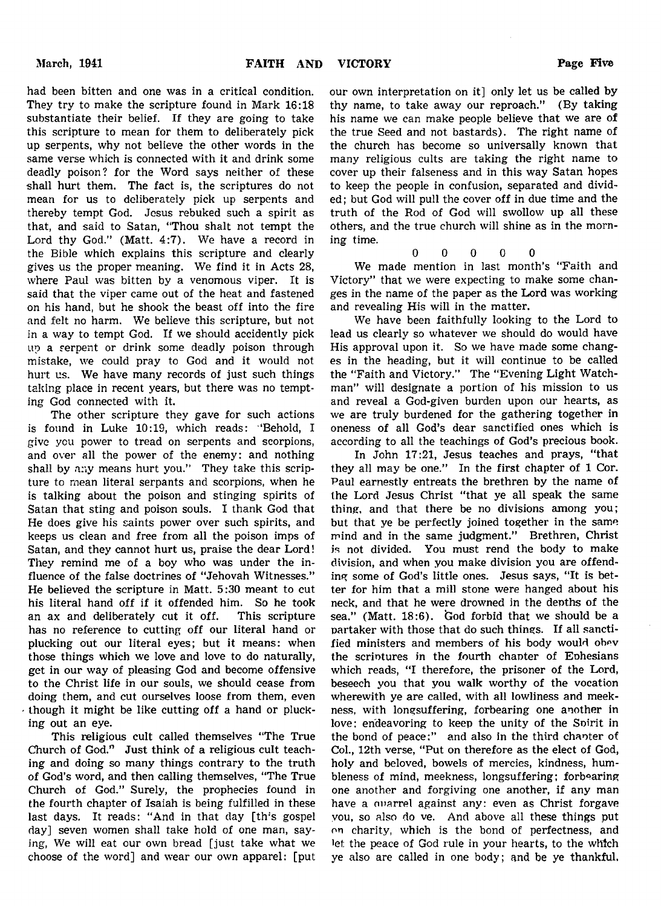had been bitten and one was in a critical condition. They try to make the scripture found in Mark 16:18 our own interpretation on it] only let us be called by thy name, to take away our reproach." (By taking his name we can make people believe that we are of the true Seed and not bastards). The right name of the church has become so universally known that many religious cults are taking the right name to cover up their falseness and in this way Satan hopes to keep the people in confusion, separated and divided; but God will pull the cover off in due time and the truth of the Rod of God will swollow up all these others, and the true church will shine as in the morning time.

$$
0\qquad 0\qquad 0\qquad 0\qquad 0
$$

We made mention in last month's "Faith and Victory" that we were expecting to make some changes in the name of the paper as the Lord was working and revealing His will in the matter.

We have been faithfully looking to the Lord to lead us clearly so whatever we should do would have His approval upon it. So we have made some changes in the heading, but it will continue to be called the "Faith and Victory." The "Evening Light Watchman" will designate a portion of his mission to us and reveal a God-given burden upon our hearts, as we are truly burdened for the gathering together in oneness of all God's dear sanctified ones which is according to all the teachings of God's precious book.

In John 17:21, Jesus teaches and prays, "that they all may be one." In the first chapter of 1 Cor. Paul earnestly entreats the brethren by the name of the Lord Jesus Christ "that ye all speak the same thing, and that there be no divisions among you; but that ye be perfectly joined together in the same mind and in the same judgment." Brethren, Christ is not divided. You must rend the body to make division, and when you make division you are offending some of God's little ones. Jesus says, "It is better for him that a mill stone were hanged about his neck, and that he were drowned in the depths of the sea." (Matt.  $18:6$ ). God forbid that we should be a partaker with those that do such things. If all sanctified ministers and members of his body would obev the scriptures in the fourth chapter of Ephesians which reads, "I therefore, the prisoner of the Lord, beseech you that you walk worthy of the vocation wherewith ye are called, with all lowliness and meekness, with longsuffering, forbearing one another in love: endeavoring to keep the unity of the Spirit in the bond of peace:" and also in the third chanter of Col., 12th verse, "Put on therefore as the elect of God, holy and beloved, bowels of mercies, kindness, humbleness of mind, meekness, longsuffering; forbearing one another and forgiving one another, if any man have a ouarrel against any: even as Christ forgave you, so also do ve. And above all these things put on charity, which is the bond of perfectness, and let the peace of God rule in your hearts, to the which ye also are called in one body; and be ye thankful.

substantiate their belief. If they are going to take this scripture to mean for them to deliberately pick up serpents, why not believe the other words in the same verse which is connected with it and drink some deadly poison? for the Word says neither of these shall hurt them. The fact is, the scriptures do not mean for us to deliberately pick up serpents and thereby tempt God. Jesus rebuked such a spirit as that, and said to Satan, "Thou shalt not tempt the Lord thy God." (Matt. 4:7). We have a record in the Bible which explains this scripture and clearly gives us the proper meaning. We find it in Acts 28, where Paul was bitten by a venomous viper. It is said that the viper came out of the heat and fastened on his hand, but he shook the beast off into the fire and felt no harm. We believe this scripture, but not in a way to tempt God. If we should accidently pick up a serpent or drink some deadly poison through mistake, we could pray to God and it would not hurt us. We have many records of just such things taking place in recent years, but there was no tempting God connected with it.

The other scripture they gave for such actions is found in Luke 10:19, which reads: 'Behold, I give you power to tread on serpents and scorpions, and over all the power of the enemy: and nothing shall by any means hurt you." They take this scripture to mean literal serpants and scorpions, when he is talking about the poison and stinging spirits of Satan that sting and poison souls. I thank God that He does give his saints power over such spirits, and keeps us clean and free from all the poison imps of Satan, and they cannot hurt us, praise the dear Lord! They remind me of a boy who was under the influence of the false doctrines of "Jehovah Witnesses." He believed the scripture in Matt. 5:30 meant to cut his literal hand off if it offended him. So he took an ax and deliberately cut it off. This scripture has no reference to cutting off our literal hand or plucking out our literal eyes; but it means: when those things which we love and love to do naturally, get in our way of pleasing God and become offensive to the Christ life in our souls, we should cease from doing them, and cut ourselves loose from them, even  $\cdot$  though it might be like cutting off a hand or plucking out an eye.

This religious cult called themselves "The True Church of God." Just think of a religious cult teaching and doing so many things contrary to the truth of God's word, and then calling themselves, "The True Church of God." Surely, the prophecies found in the fourth chapter of Isaiah is being fulfilled in these last days. It reads: "And in that day [th's gospel day] seven women shall take hold of one man, saying, We will eat our own bread [just take what we choose of the word] and wear our own apparel: [put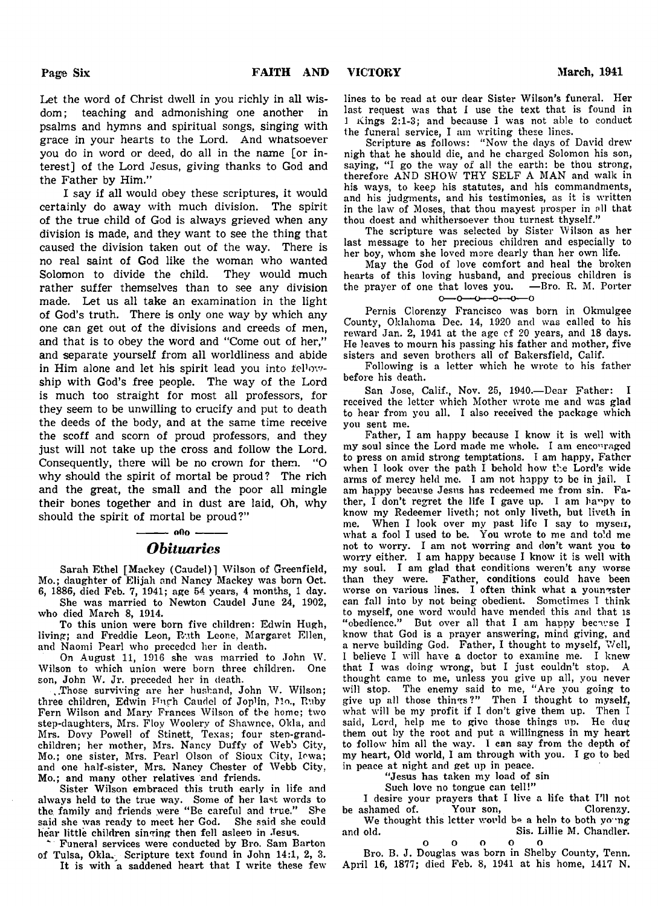Let the word of Christ dwell in you richly in all wisdom; teaching and admonishing one another in psalms and hymns and spiritual songs, singing with grace in your hearts to the Lord. And whatsoever you do in word or deed, do all in the name [or interest] of the Lord Jesus, giving thanks to God and the Father by Him."

I say if all would obey these scriptures, it would certainly do away with much division. The spirit of the true child of God is always grieved when any division is made, and they want to see the thing that caused the division taken out of the way. There is no real saint of God like the woman who wanted Solomon to divide the child. They would much rather suffer themselves than to see any division made. Let us all take an examination in the light of God's truth. There is only one way by which any one can get out of the divisions and creeds of men, and that is to obey the word and "Come out of her," and separate yourself from all worldliness and abide in Him alone and let his spirit lead you into fellowship with God's free people. The way of the Lord is much too straight for most all professors, for they seem to be unwilling to crucify and put to death the deeds of the body, and at the same time receive the scoff and scorn of proud professors, and they just will not take up the cross and follow the Lord. Consequently, there will be no crown for them. "O why should the spirit of mortal be proud? The rich and the great, the small and the poor all mingle their bones together and in dust are laid, Oh, why should the spirit of mortal be proud?"

# - 000 -*Obituaries*

Sarah Ethel [Mackey (Caudel)] Wilson of Greenfield, Mo.; daughter of Elijah and Nancy Mackey was born Oct. 6, 1886, died Feb. 7, 1941; age 54 years, 4 months, 1 day.

She was married to Newton Caudel June 24, 1902, who died March 8, 1914.

To this union were born five children: Edwin Hugh, living; and Freddie Leon, Ruth Leone, Margaret Ellen, and Naomi Pearl who preceded her in death.

On August 11, 1916 she was married to John W. Wilson to which union were born three children. One son, John W. Jr. preceded her in death.

..Those surviving are her husband, John W. Wilson; three children, Edwin Hugh Caudel of Joplin, Mo., Ruby Fern Wilson and Mary Frances Wilson of the home; two step-daughters, Mrs. Floy Woolery of Shawnee, Okla, and Mrs. Dovy Powell of Stinett, Texas; four step-grandchildren; her mother, Mrs. Nancy Duffy of Web's City, Mo.; one sister, Mrs. Pearl Olson of Sioux City, Iowa; and one half-sister, Mrs. Nancy Chester of Webb City. Mo.; and many other relatives and friends.

Sister Wilson embraced this truth early in life and always held to the true way. Some of her last words to the. family and friends were " Be careful and true." She said she was ready to meet her God. She said she could hear little children singing then fell asleep in Jesus.

\*■ Funeral services were conducted by Bro. Sam Barton of Tulsa, Okla.- Scripture text found in John 14:1, 2, 3. It is with a saddened heart that I write these few lines to be read at our dear Sister Wilson's funeral. Her last request was that I use the text that is found in 1 Kings 2:1-3; and because I was not able to conduct the funeral service, I am writing these lines.

Scripture as follows: " Now the days of David drew nigh that he should die, and he charged Solomon his son, saying, "I go the way of all the earth: be thou strong, therefore AND SHOW THY SELF A MAN and walk in his ways, to keep his statutes, and his commandments, and his judgments, and his testimonies, as it is written in the law of Moses, that thou mayest prosper in all that thou doest and whithersoever thou turnest thyself."

The scripture was selected by Sister Wilson as her last message to her precious children and especially to her boy, whom she loved more dearly than her own life.

May the God of love comfort and heal the broken hearts of this loving husband, and precious children is the prayer of one that loves you. — Bro. R. M. Porter  $0 - 0 - 0 - 0 - 0 - 0$ 

Pernis Clorenzy Francisco was born in Okmulgee County, Oklahoma Dec. 14, 1920 and was called to his reward Jan. 2, 1941 at the age cf 20 years, and 18 days. He leaves to mourn his passing his father and mother, five sisters and seven brothers all of Bakersfield, Calif.

Following is a letter which he wrote to his father before his death.

San Jose, Calif., Nov. 25, 1940.— Dear Father: I received the letter which Mother wrote me and was glad to hear from you all. I also received the package which you sent me.

Father, I am happy because I know it is well with my soul since the Lord made me whole. I am encouraged to press on amid strong temptations. I am happy, Father when I look over the path I behold how the Lord's wide arms of mercy held me. I am not happy to be in jail. I am happy because Jesus has redeemed me from sin. Father,  $I$  don't regret the life I gave up. I am happy to know my Redeemer liveth; not only liveth, but liveth in me. When I look over my past life I say to mysen, what a fool I used to be. You wrote to me and told me not to worry. I am not worring and don't want you to worry either. I am happy because I know it is well with my soul. I am glad that conditions weren't any worse than they were. Father, conditions could have been worse on various lines. I often think what a youn ster can fall into by not being obedient. Sometimes I think to myself, one word would have mended this and that is "obedience." But over all that I am happy because I know that God is a prayer answering, mind giving, and a nerve building God. Father, I thought to myself, Well, I believe I will have a doctor to examine me. I knew that I was doing wrong, but I just couldn't stop. A thought came to me, unless you give up all, you never will stop. The enemy said to me, " Are you going to give up all those things?" Then I thought to myself, what will be my profit if I don't give them up. Then I said, Lord, help me to give those things up. He dug them out by the root and put a willingness in my heart to follow him all the way. I can say from the depth of my heart, Old world, I am through with you. I go to bed in peace at night and get up in peace.

"Jesus has taken my load of sin

Such love no tongue can tell!"

I desire your prayers that I live a life that I'll not be ashamed of. Your son, Clorenzy.

We thought this letter world be a help to both young and old. Sis. Lillie M. Chandler,

o o o o o Bro. B. J. Douglas was born in Shelby County, Tenn. April 16, 1877; died Feb. 8, 1941 at his home, 1417 N.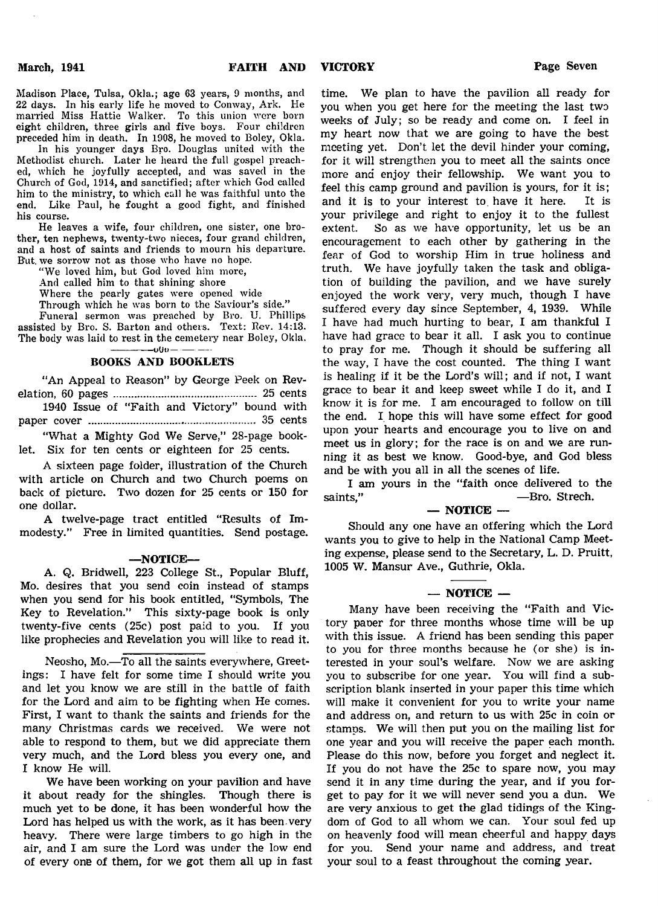Madison Place, Tulsa, Okla.; age 63 years, 9 months, and 22 days. In his early life he moved to Conway, Ark. He married Miss Hattie Walker. To this union were born eight children, three girls and five boys. Four children preceded him in death. In 1908, he moved to Boley, Okla.

In his younger days Bro. Douglas united with the Methodist church. Later he heard the full gospel preached, which he joyfully accepted, and was saved in the Church of God, 1914, and sanctified; after which God called him to the ministry, to which call he was faithful unto the end. Like Paul, he fought a good fight, and finished his course.

He leaves a wife, four children, one sister, one brother, ten nephews, twenty-two nieces, four grand children, and a host of saints and friends to mourn his departure. But we sorrow not as those who have no hope.

" We loved him, but God loved him more,

And called him to that shining shore

Where the pearly gates were opened wide

Through which he was born to the Saviour's side."

Funeral sermon was preached by Bro. U. Phillips assisted by Bro. S. Barton and others. Text: Rev. 14:13. The body was laid to rest in the cemetery near Boley, Okla.  $-000-$ 

## BOOKS AND BOOKLETS

"An Appeal to Reason" by George Peek on Revelation, 60 pages ............................................... 25 cents

1940 Issue of "Faith and Victory" bound with paper cover ....................................................... 35 cents

"What a Mighty God We Serve," 28-page booklet. Six for ten cents or eighteen for 25 cents.

A sixteen page folder, illustration of the Church with article on Church and two Church poems on back of picture. Two dozen for 25 cents or 150 for one dollar.

A twelve-page tract entitled "Results of Immodesty." Free in limited quantities. Send postage.

## —NOTICE—

A. Q. Bridwell, 223 College St., Popular Bluff, Mo. desires that you send coin instead of stamps when you send for his book entitled, "Symbols, The Key to Revelation." This sixty-page book is only twenty-five cents (25c) post paid to you. If you like prophecies and Revelation you will like to read it.

Neosho, Mo.—To all the saints everywhere, Greetings: I have felt for some time I should write you and let you know we are still in the battle of faith for the Lord and aim to be fighting when He comes. First, I want to thank the saints and friends for the many Christmas cards we received. We were not able to respond to them, but we did appreciate them very much, and the Lord bless you every one, and I know He will.

We have been working on your pavilion and have it about ready for the shingles. Though there is much yet to be done, it has been wonderful how the Lord has helped us with the work, as it has been very heavy. There were large timbers to go high in the air, and I am sure the Lord was under the low end of every one of them, for we got them all up in fast

time. We plan to have the pavilion all ready for you when you get here for the meeting the last two weeks of July; so be ready and come on. I feel in my heart now that we are going to have the best meeting yet. Don't let the devil hinder your coming, for it will strengthen you to meet all the saints once more and enjoy their fellowship. We want you to feel this camp ground and pavilion is yours, for it is; and it is to your interest to have it here. It is your privilege and right to enjoy it to the fullest extent. So as we have opportunity, let us be an encouragement to each other by gathering in the fear of God to worship Him in true holiness and truth. We have joyfully taken the task and obligation of building the pavilion, and we have surely enjoyed the work very, very much, though I have suffered every day since September, 4, 1939. While I have had much hurting to bear, I am thankful I have had grace to bear it all. I ask you to continue to pray for me. Though it should be suffering all the way, I have the cost counted. The thing I want is healing if it be the Lord's will; and if not, I want grace to bear it and keep sweet while I do it, and I know it is for me. I am encouraged to follow on till the end. I, hope this will have some effect for good upon your hearts and encourage you to live on and meet us in glory; for the race is on and we are running it as best we know. Good-bye, and God bless and be with you all in all the scenes of life.

I am yours in the "faith once delivered to the saints," — Bro. Strech.

# $-$  NOTICE  $-$

Should any one have an offering which the Lord wants you to give to help in the National Camp Meeting expense, please send to the Secretary, L. D. Pruitt, 1005 W. Mansur Ave., Guthrie, Okla.

## $-$  NOTICE  $-$

Many have been receiving the "Faith and Victory paper for three months whose time will be up with this issue. A friend has been sending this paper to you for three months because he (or she) is interested in your soul's welfare. Now we are asking you to subscribe for one year. You will find a subscription blank inserted in your paper this time which will make it convenient for you to write your name and address on, and return to us with 25c in coin or stamps. We will then put you on the mailing list for one year and you will receive the paper each month. Please do this now, before you forget and neglect it. If you do not have the 25c to spare now, you may send it in any time during the year, and if you forget to pay for it we will never send you a dun. We are very anxious to get the glad tidings of the Kingdom of God to all whom we can. Your soul fed up on heavenly food will mean cheerful and happy days for you. Send your name and address, and treat your soul to a feast throughout the coming year.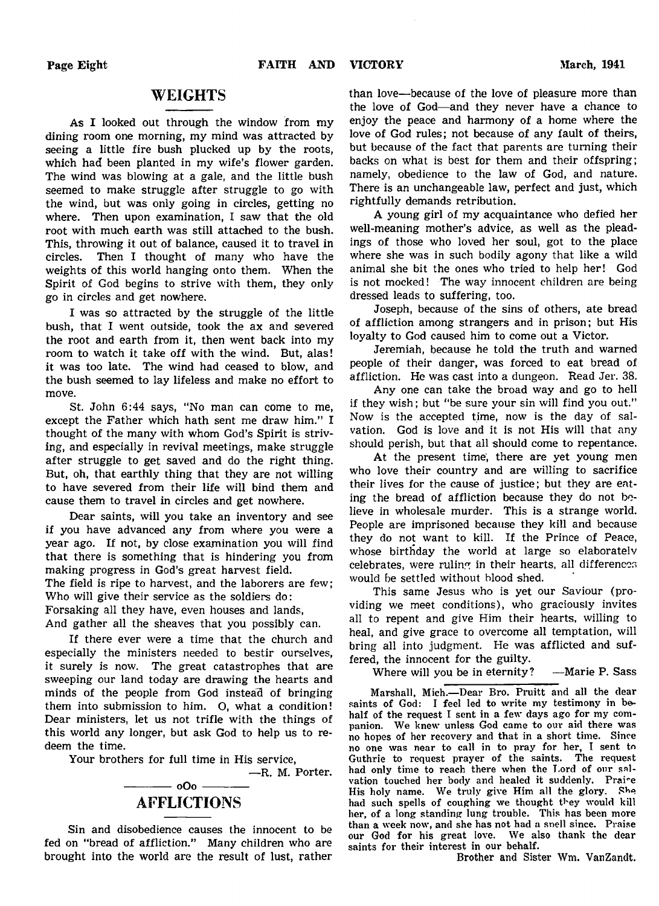# WEIGHTS

As I looked out through the window from my dining room one morning, my mind was attracted by seeing a little fire bush plucked up by the roots, which had been planted in my wife's flower garden. The wind was blowing at a gale, and the little bush seemed to make struggle after struggle to go with the wind, but was only going in circles, getting no where. Then upon examination, I saw that the old root with much earth was still attached to the bush. This, throwing it out of balance, caused it to travel in circles. Then I thought of many who have the weights of this world hanging onto them. When the Spirit of God begins to strive with them, they only go in circles and get nowhere.

I was so attracted by the struggle of the little bush, that I went outside, took the ax and severed the root and earth from it, then went back into my room to watch it take off with the wind. But, alas! it was too late. The wind had ceased to blow, and the bush seemed to lay lifeless and make no effort to move.

St. John 6:44 says, "No man can come to me, except the Father which hath sent me draw him." I thought of the many with whom God's Spirit is striving, and especially in revival meetings, make struggle after struggle to get saved and do the right thing. But, oh, that earthly thing that they are not willing to have severed from their life will bind them and cause them to travel in circles and get nowhere.

Dear saints, will you take an inventory and see if you have advanced any from where you were a year ago. If not, by close examination you will find that there is something that is hindering you from making progress in God's great harvest field. The field is ripe to harvest, and the laborers are few; Who will give their service as the soldiers do: Forsaking all they have, even houses and lands,

And gather all the sheaves that you possibly can.

If there ever were a time that the church and especially the ministers needed to bestir ourselves, it surely is now. The great catastrophes that are sweeping our land today are drawing the hearts and minds of the people from God instead of bringing them into submission to him. O, what a condition! Dear ministers, let us not trifle with the things of this world any longer, but ask God to help us to redeem the time.

Your brothers for full time in His service,

— R. M. Porter.

# $-$  0O0  $-$ AFFLICTIONS

Sin and disobedience causes the innocent to be fed on "bread of affliction." Many children who are brought into the world are the result of lust, rather than love—because of the love of pleasure more than the love of God— and they never have a chance to enjoy the peace and harmony of a home where the love of God rules; not because of any fault of theirs, but because of the fact that parents are turning their backs on what is best for them and their offspring; namely, obedience to the law of God, and nature. There is an unchangeable law, perfect and just, which rightfully demands retribution.

A young girl of my acquaintance who defied her well-meaning mother's advice, as well as the pleadings of those who loved her soul, got to the place where she was in such bodily agony that like a wild animal she bit the ones who tried to help her! God is not mocked! The way innocent children are being dressed leads to suffering, too.

Joseph, because of the sins of others, ate bread of affliction among strangers and in prison; but His loyalty to God caused him to come out a Victor.

Jeremiah, because he told the truth and warned people of their danger, was forced to eat bread of affliction. He was cast into a dungeon. Read Jer. 38.

Any one can take the broad way and go to hell if they wish; but "be sure your sin will find you out." Now is the accepted time, now is the day of salvation. God is love and it is not His will that any should perish, but that all should come to repentance.

At the present time, there are yet young men who love their country and are willing to sacrifice their lives for the cause of justice; but they are eating the bread of affliction because they do not believe in wholesale murder. This is a strange world. People are imprisoned because they kill and because they do not want to kill. If the Prince of Peace, whose birthday the world at large so elaboratelv celebrates, were ruling in their hearts, all differences would be settled without blood shed.

This same Jesus who is yet our Saviour (providing we meet conditions), who graciously invites all to repent and give Him their hearts, willing to heal, and give grace to overcome all temptation, will bring all into judgment. He was afflicted and suffered, the innocent for the guilty.

Where will you be in eternity? —Marie P. Sass

Marshall, Mich.-Dear Bro. Pruitt and all the dear saints of God: I feel led to write my testimony in behalf of the request I sent in a few days ago for my companion. We knew unless God came to our aid there was no hopes of her recovery and that in a short time. Since no one was near to call in to pray for her, I sent to Guthrie to request prayer of the saints. The request had only time to reach there when the Lord of our salvation touched her body and healed it suddenly. Praise His holy name. We truly give Him all the glory. Sbe had such spells of coughing we thought they would kill her, of a long standing lung trouble. This has been more than a week now, and she has not had a snell since. Praise our God for his great love. We also thank the dear saints for their interest in our behalf.

Brother and Sister Wm. VanZandt.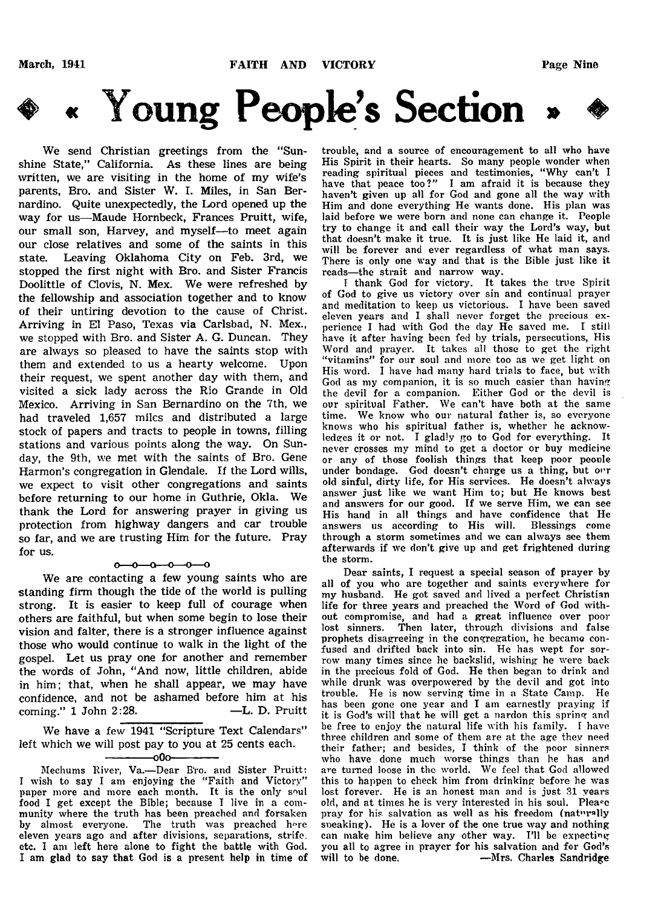# *Young People's Section*

We send Christian greetings from the "Sunshine State," California. As these lines are being written, we are visiting in the home of my wife's parents, Bro. and Sister W. I. Miles, in San Bernardino. Quite unexpectedly, the Lord opened up the way for us—Maude Hornbeck, Frances Pruitt, wife, our small son, Harvey, and myself—to meet again our close relatives and some of the saints in this state. Leaving Oklahoma City on Feb. 3rd, we stopped the first night with Bro. and Sister Francis Doolittle of Clovis, N. Mex. We were refreshed by the fellowship and association together and to know of their untiring devotion to the cause of Christ. Arriving in El Paso, Texas via Carlsbad, N. Mex., we stopped with Bro. and Sister A. G. Duncan. They are always so pleased to have the saints stop with them and extended to us a hearty welcome. Upon their request, we spent another day with them, and visited a sick lady across the Rio Grande in Old Mexico. Arriving in San Bernardino on the 7th, we had traveled 1,657 miles and distributed a large stock of papers and tracts to people in towns, filling stations and various points along the way. On Sunday, the 9th, we met with the saints of Bro. Gene Harmon's congregation in Glendale. If the Lord wills, we expect to visit other congregations and saints before returning to our home in Guthrie, Okla. We thank the Lord for answering prayer in giving us protection from highway dangers and car trouble so far, and we are trusting Him for the future. Pray for us.

## $0 - 0 - 0 - 0 - 0$

We are contacting a few young saints who are standing firm though the tide of the world is pulling strong. It is easier to keep full of courage when others are faithful, but when some begin to lose their vision and falter, there is a stronger influence against those who would continue to walk in the light of the gospel. Let us pray one for another and remember the words of John, "And now, little children, abide in him; that, when he shall appear, we may have confidence, and not be ashamed before him at his coming." 1 John 2:28. —L. D. Pruitt

We have a few 1941 "Scripture Text Calendars" left which we will post pay to you at 25 cents each.

–00ہ

Mediums River, Va.— Dear B'ro. and Sister Pruitt: I wish to say I am enjoying the " Faith and Victory" paper more and more each month. It is the only soul food I get except the Bible; because I live in a community where the truth has been preached and forsaken by almost everyone. The truth was preached hore eleven years ago and after divisions, separations, strife, etc. I am left here alone to fight the battle with God. I am glad to say that God is a present help in time of trouble, and a source of encouragement to all who have His Spirit in their hearts. So many people wonder when reading spiritual pieces and testimonies, " Why can't I have that peace too?" I am afraid it is because they haven't given up all for God and gone all the way with Him and done everything He wants done. His plan was laid before we were born and none can change it. People try to change it and call their way the Lord's way, but that doesn't make it true. It is just like He laid it, and will be forever and ever regardless of what man says. There is only one way and that is the Bible just like it reads—the strait and narrow way.

I thank God for victory. It takes the true Spirit of God to give us victory over sin and continual prayer and meditation to keep us victorious. I have been saved eleven years and I shall never forget the precious experience I had with God the day He saved me. I still have it after having been fed by trials, persecutions, His Word and prayer. It takes all those to get the right "vitamins" for our soul and more too as we get light on His word. I have had many hard trials to face, but with God as my companion, it is so much easier than having the devil for a companion. Either God or the devil is our spiritual Father. We can't have both at the same time. We know who our natural father is, so everyone knows who his spiritual father is, whether he acknowledges it or not. I gladly go to God for everything. It never crosses my mind to get a doctor or buy medicine or any of those foolish things that keep poor peonle under bondage. God doesn't charge us a thing, but our old sinful, dirty life, for His services. He doesn't always answer just like we want Him to; but He knows best and answers for our good. If we serve Him, we can see His hand in all things and have confidence that He answers us according to His will. Blessings come through a storm sometimes and we can always see them afterwards if we don't give up and get frightened during the storm.

Dear saints, I request a special season of prayer by all of you who are together and saints everywhere for my husband. He got saved and lived a perfect Christian life for three years and preached the Word of God without compromise, and had a great influence over poor lost sinners. Then later, through divisions and false prophets disagreeing in the congregation, he became confused and drifted back into sin. He has wept for sorrow many times since he backslid, wishing he were back in the precious fold of God. He then began to drink and while drunk was overpowered by the devil and got into trouble. He is now serving time in a State Camp. He has been gone one year and I am earnestly praying if it is God's will that he will get a nardon this spring and be free to enjoy the natural life with his family. I have three children and some of them are at the age they need their father; and besides, I think of the poor sinners who have done much worse things than he has and are turned loose in the world. We feel that God allowed this to happen to check him from drinking before he was lost forever. He is an honest man and is just 31 years old, and at times he is very interested in his soul. Please pray for his salvation as well as his freedom (naturally sneaking). He is a lover of the one true way and nothing can make him believe any other way. I'll be expecting you all to agree in prayer for his salvation and for God's will to be done. — Mrs. Charles Sandridge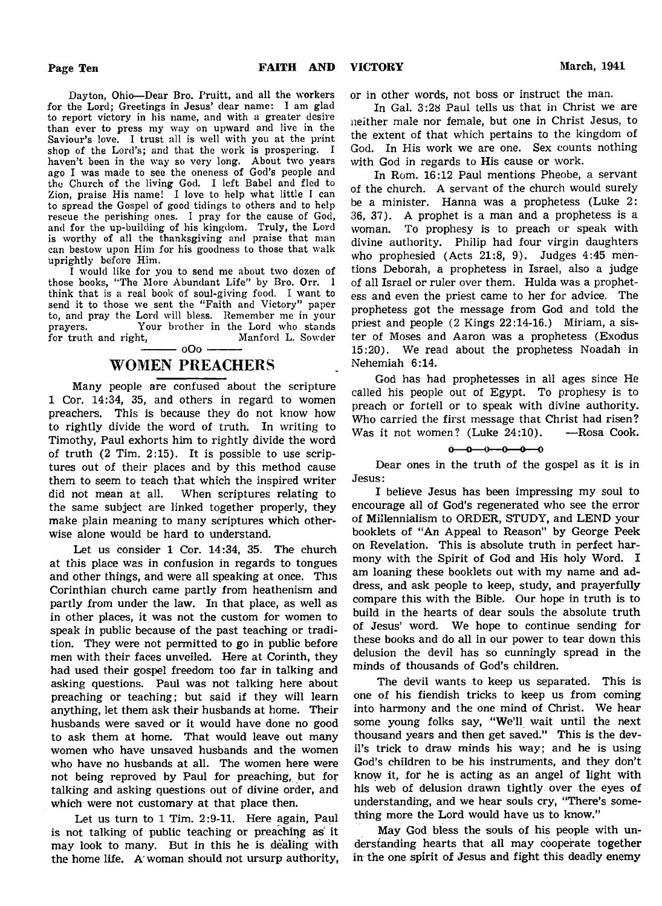Dayton, Ohio— Dear Bro. Pruitt, and all the workers for the Lord; Greetings in Jesus' dear name: I am glad to report victory in his name, and with a greater desire than ever to press my way on upward and live in the Saviour's love. I trust all is well with you at the print shop of the Lord's; and that the work is prospering. I haven't been in the way so very long. About two years ago I was made to see the oneness of God's people and the Church of the living God. I left Babel and fled to Zion, praise His name! I love to help what little I can to spread the Gospel of good tidings to others and to help rescue the perishing ones. I pray for the cause of God, and for the up-building of his kingdom. Truly, the Lord is worthy of all the thanksgiving and praise that man can bestow upon Him for his goodness to those that walk uprightly before Him.

I would like for you to send me about two dozen of those books, "The More Abundant Life" by Bro. Orr. 1 think that is a real book of soul-giving food. I want to send it to those we sent the "Faith and Victory" paper to, and pray the Lord will bless. Bemember me in your Your brother in the Lord who stands for truth and right, Manford L. Sowder  $-000 -$ 

# WOMEN PREACHERS

Many people are confused about the scripture 1 Cor. 14:34, 35, and others in regard to women preachers. This is because they do not know how to rightly divide the word of truth. In writing to Timothy, Paul exhorts him to rightly divide the word of truth (2 Tim. 2:15). It is possible to use scriptures out of their places and by this method cause them to seem to teach that which the inspired writer did not mean at all. When scriptures relating to the same subject are linked together properly, they make plain meaning to many scriptures which otherwise alone would be hard to understand.

Let us consider 1 Cor. 14:34, 35. The church at this place was in confusion in regards to tongues and other things, and were all speaking at once. This Corinthian church came partly from heathenism and partly from under the law. In that place, as well as in other places, it was not the custom for women to speak in public because of the past teaching or tradition. They were not permitted to go in public before men with their faces unveiled. Here at Corinth, they had used their gospel freedom too far in talking and asking questions. Paul was not talking here about preaching or teaching; but said if they will learn anything, let them ask their husbands at home. Their husbands were saved or it would have done no good to ask them at home. That would leave out many women who have unsaved husbands and the women who have no husbands at all. The women here were not being reproved by Paul for preaching, but for talking and asking questions out of divine order, and which were not customary at that place then.

Let us turn to 1 Tim. 2:9-11. Here again, Paul is not talking of public teaching or preaching as' it may look to many. But in this he is dealing with the home life. A woman should not ursurp authority,

or in other words, not boss or instruct the man.

In Gal. 3:28 Paul tells us that in Christ we are neither male nor female, but one in Christ Jesus, to the extent of that which pertains to the kingdom of God. In His work we are one. Sex counts nothing with God in regards to His cause or work.

In Rom. 16:12 Paul mentions Pheobe, a servant of the church. A servant of the church would surely be a minister. Hanna was a prophetess (Luke 2: 36, 37). A prophet is a man and a prophetess is a woman. To prophesy is to preach or speak with divine authority. Philip had four virgin daughters who prophesied (Acts 21:8, 9). Judges 4:45 mentions Deborah, a prophetess in Israel, also a judge of all Israel or ruler over them. Hulda was a prophetess and even the priest came to her for advice. The prophetess got the message from God and told the priest and people (2 Kings 22:14-16.) Miriam, a sister of Moses and Aaron was a prophetess (Exodus 15:20). We read about the prophetess Noadah in Nehemiah 6:14.

God has had prophetesses in all ages since He called his people out of Egypt. To prophesy is to preach or fortell or to speak with divine authority. Who carried the first message that Christ had risen? Was it not women? (Luke 24:10). — Rosa Cook.

# $0 \rightarrow 0 \rightarrow 0 \rightarrow 0 \rightarrow 0$

Dear ones in the truth of the gospel as it is in Jesus:

I believe Jesus has been impressing my soul to encourage all of God's regenerated who see the error of Millennialism to ORDER, STUDY, and LEND your booklets of "An Appeal to Reason" by George Peek on Revelation. This is absolute truth in perfect harmony with the Spirit of God and His holy Word. I am loaning these booklets out with my name and address, and ask people to keep, study, and prayerfully compare this with the Bible. Our hope in truth is to build in the hearts of dear souls the absolute truth of Jesus' word. We hope to continue sending for these books and do all in our power to tear down this delusion the devil has so cunningly spread in the minds of thousands of God's children.

The devil wants to keep us separated. This is one of his fiendish tricks to keep us from coming into harmony and the one mind of Christ. We hear some young folks say, "We'll wait until the next thousand years and then get saved." This is the devil's trick to draw minds his way; and he is using God's children to be his instruments, and they don't know it, for he is acting as an angel of light with his web of delusion drawn tightly over the eyes of understanding, and we hear souls cry, "There's something more the Lord would have us to know."

May God bless the souls of his people with understanding hearts that all may cooperate together in the one spirit of Jesus and fight this deadly enemy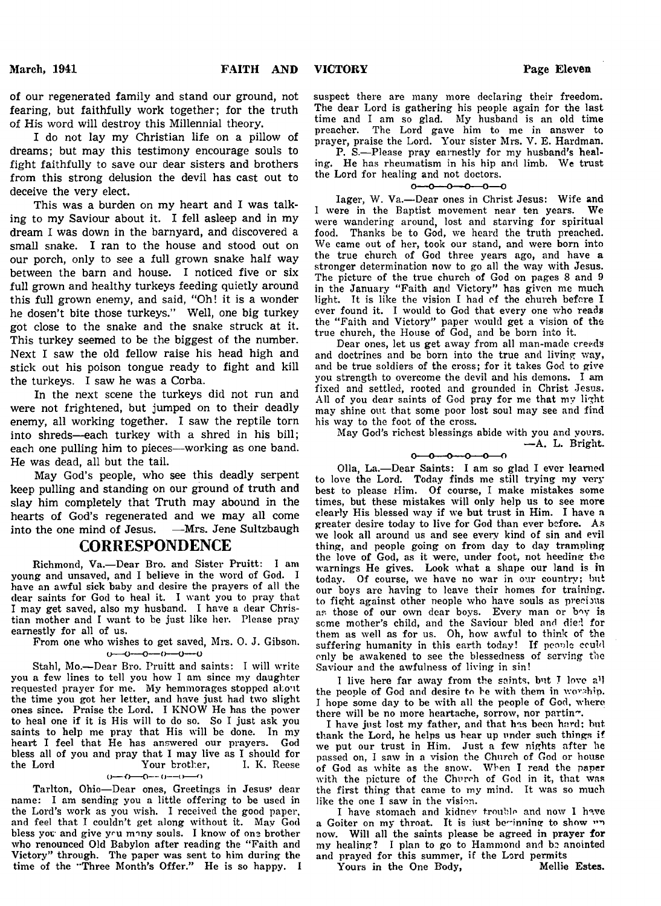of our regenerated family and stand our ground, not fearing, but faithfully work together; for the truth of His word will destroy this Millennial theory.

I do not lay my Christian life on a pillow of dreams; but may this testimony encourage souls to fight faithfully to save our dear sisters and brothers from this strong delusion the devil has cast out to deceive the very elect.

This was a burden on my heart and I was talking to my Saviour about it. I fell asleep and in my dream I was down in the barnyard, and discovered a small snake. I ran to the house and stood out on our porch, only to see a full grown snake half way between the barn and house. I noticed five or six full grown and healthy turkeys feeding quietly around this full grown enemy, and said, "Oh! it is a wonder he dosen't bite those turkeys." Well, one big turkey got close to the snake and the snake struck at it. This turkey seemed to be the biggest of the number. Next I saw the old fellow raise his head high and stick out his poison tongue ready to fight and kill the turkeys. I saw he was a Corba.

In the next scene the turkeys did not run and were not frightened, but jumped on to their deadly enemy, all working together. I saw the reptile torn into shreds— each turkey with a shred in his bill; each one pulling him to pieces—working as one band. He was dead, all but the tail.

May God's people, who see this deadly serpent keep pulling and standing on our ground of truth and slay him completely that Truth may abound in the hearts of God's regenerated and we may all come into the one mind of Jesus. —Mrs. Jene Sultzbaugh

# **CORRESPONDENCE**

Richmond, Va.— Dear Bro. and Sister Pruitt: I am young and unsaved, and I believe in the word of God. I have an awful sick baby and desire the prayers of all the dear saints for God to heal it. I want you to pray that I may get saved, also my husband. I have a dear Christian mother and I want to be just like her. Please pray earnestly for all of us.

From one who wishes to get saved, Mrs. 0. J. Gibson.  $0 - 0 - 0 - 0 - 0 - 0$ 

Stahl, Mo.— Dear Bro. Pruitt and saints: I will write you a few lines to tell you how I am since my daughter requested prayer for me. My hemmorages stopped about the time you got her letter, and have just had two slight ones since. Praise the Lord. I KNOW He has the power to heal one if it is His will to do so. So I just ask you saints to help me pray that His will be done. In my heart I feel that He has answered our prayers. God bless all of you and pray that I may live as I should for<br>the Lord Your brother, I. K. Reese the Lord Your brother,

 $() \rightarrow () \rightarrow () \rightarrow () \rightarrow () \rightarrow ()$ 

Tarlton, Ohio— Dear ones, Greetings in Jesus' dear name: I am sending you a little offering to be used in the Lord's work as you wish. I received the good paper, and feel that I couldn't get along without it. May God bless you- and give you ninny souls. I know of one brother who renounced Old Babylon after reading the "Faith and Victory" through. The paper was sent to him during the time of the "Three Month's Offer." He is so happy. I suspect there are many more declaring their freedom. The dear Lord is gathering his people again for the last time and I am so glad. My husband is an old time preacher. The Lord gave him to me in answer to prayer, praise the Lord. Your sister Mrs. V. E. Hardman.

P. S.— Please pray earnestly for my husband's healing. He has rheumatism in his hip and limb. We trust the Lord for healing and not doctors.

### $\sim$ -0--0--0--0--0

lager, W. Va.— Dear ones in Christ Jesus: Wife and I were in the Baptist movement near ten years. We were wandering around, lost and starving for spiritual food. Thanks be to God, we heard the truth preached. We came out of her, took our stand, and were bom into the true church of God three years ago, and have a stronger determination now to go all the way with Jesus. The picture of the true church of God on pages 8 and 9 in the January "Faith and Victory" has given me much light. It is like the vision I had of the church before I ever found it. I would to God that every one who reads the "Faith and Victory" paper would get a vision of the true church, the House of God, and be born into it.

Dear ones, let us get away from all man-made creeds and doctrines and be born into the true and living way, and be true soldiers of the cross; for it takes God to give you strength to overcome the devil and his demons. I am fixed and settled, rooted and grounded in Christ Jesus. All of you dear saints of God pray for me that my light may shine out that some poor lost soul may see and find his way to the foot of the cross.

May God's richest blessings abide with you and yours. — A. L. Bright.

 $0 - 0 - 0 - 0 - 0$ 

011a, La.— Dear Saints: I am so glad I ever learned to love the Lord. Today finds me still trying my very best to please Him. Of course, I make mistakes some times, but these mistakes will only help us to see more clearly His blessed way if we but trust in Him. I have a greater desire today to live for God than ever before. As we look all around us and see every kind of sin and evil thing, and people going on from day to day trampling the love of God, as it were, under foot, not heeding the warnings He gives. Look what a shape our land is in today. Of course, we have no war in our country; but our boys are having to leave their homes for training, to fight against other people who have souls as precious as those of our own dear boys. Every man or boy is seme mother's child, and the Saviour bled and died for them as well as for us. Oh, how awful to think of the suffering humanity in this earth today! If people could only be awakened to see the blessedness of serving the Saviour and the awfulness of living in sin!

I live here far away from the saints, but I love all the people of God and desire to be with them in worship. I hope some day to be with all the people of God, where there will be no more heartache, sorrow, nor partin~.

I have just lost my father, and that has been hard; but thank the Lord, he helps us hear up under such things if we put our trust in Him. Just a few nights after he passed on, I saw in a vision the Church of God or house of God as white as the snow. When I read the paper with the picture of the Church of God in it, that was the first thing that came to my mind. It was so much like the one I saw in the vision.

I have stomach and kidney trouble and now I have a Goiter on my throat. It is just beginning to show "" now. Will all the saints please be agreed in prayer for my healing? I plan to go to Hammond and be anointed and prayed for this summer, if the Lord permits

Yours in the One Body, Mellie Estes.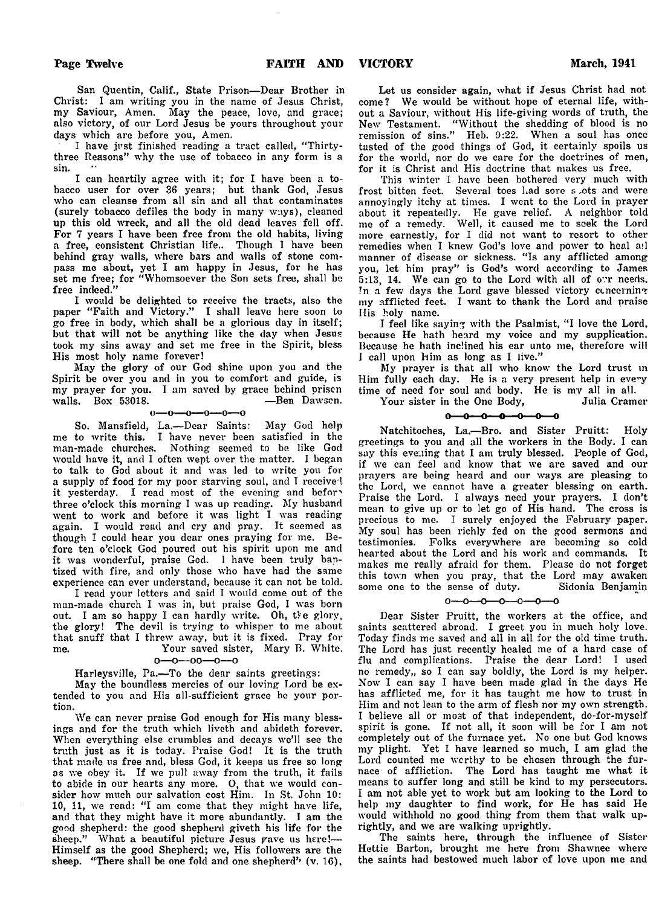San Quentin, Calif., State Prison— Dear Brother in Christ: I am writing you in the name of Jesus Christ, my Saviour, Amen. May the peace, love, and grace; also victory, of our Lord Jesus be yours throughout your days which are before you, Amen.

I have just finished reading a tract called, " Thirtythree Reasons" why the use of tobacco in any form is a sin.

I can heartily agree with it; for I have been a tobacco user for over 36 years; but thank God, Jesus who can cleanse from all sin and all that contaminates (surely tobacco defiles the body in many ways), cleaned up this old wreck, and all the old dead leaves fell off. For 7 years I have been free from the old habits, living a free, consistent Christian life.. Though I have been behind gray walls, where bars and walls of stone compass me about, yet I am happy in Jesus, for he has set me free; for " Whomsoever the Son sets free, shall be free indeed."

I would be delighted to receive the tracts, also the paper " Faith and Victory." I shall leave here soon to go free in body, which shall be a glorious day in itself; but that will not be anything like the day when Jesus took my sins away and set me free in the Spirit, bless His most holy name forever!

May the glory of our God shine upon you and the Spirit be over you and in you to comfort and guide, is my prayer for you. I am saved by grace behind prison walls. Box 53018.

 $0 - 0 - 0 - 0 - 0 - 0$ 

So. Mansfield, La.— Dear Saints: May God help me to write this. I have never been satisfied in the man-made churches. Nothing seemed to be like God would have it, and I often wept over the matter. I began to talk to God about it and was led to write you for a supply of food for my poor starving soul, and I received it yesterday. I read most of the evening and before three o'clock this morning I was up reading. My husband went to work and before it was light I was reading again. I would read and cry and pray. It seemed as though I could hear you dear ones praying for me. Before ten o'clock God poured out his spirit upon me and it was wonderful, praise God. I have been truly baptized with fire, and only those who have had the same experience can ever understand, because it can not be told.

I read your letters and said I would come out of the man-made church I was in, but praise God, I was born out. I am so happy I can hardly write. Oh, the glory, the glory! The devil is trying to whisper to me about that snuff that I threw away, but it is fixed. Pray for me. Your saved sister, Mary B. White,

o— o— oo— o— o

Harleysville, Pa.— To the dear saints greetings:

May the boundless mercies of our loving Lord be extended to you and His all-sufficient grace be your portion.

We can never praise God enough for His many blessings and for the truth which liveth and abideth forever. When everything else crumbles and decays we'll see the truth just as it is today. Praise God! It is the truth that made us free and, bless God, it keeps us free so long os we obey it. If we pull away from the truth, it fails to abide in our hearts any more. 0, that we would consider how much our salvation cost Him. In St. John 10: 10, 11, we read: "I am come that they might have life, and that they might have it more abundantly. I am the good shepherd: the good shepherd giveth his life for the sheep." What a beautiful picture Jesus gave us here!-Himself as the good Shepherd; we, His followers are the sheep. "There shall be one fold and one shepherd" (v. 16),

Let us consider again, what if Jesus Christ had not come? We would be without hope of eternal life, without a Saviour, without His life-giving words of truth, the New Testament. " Without the shedding of blood is no remission of sins." Heb. 9:22. When a soul has once tasted of the good things of God, it certainly spoils us for the world, nor do we care for the doctrines of men, for it is Christ and His doctrine that makes us free.

This winter I have been bothered very much with frost bitten feet. Several toes had sore s .ots and were annoyingly itchy at times. I went to the Lord in prayer about it x'epeatedly. He gave relief. A neighbor told me of a remedy. Well, it caused me to seek the Lord more earnestly, for I did not want to resort to other remedies when I knew God's love and power to heal ail manner of disease or sickness. "Is any afflicted among you, let him pray" is God's word according to James 5:13, 14. We can go to the Lord with all of ovr needs. In a few days the Lord gave blessed victory concerning my afflicted feet. I want to thank the Lord and praise His holy name.

I feel like saying with the Psalmist, "I love the Lord, because He hath heard my voice and my supplication. Because he hath inclined his ear unto me, therefore will I call upon him as long as I live."

My prayer is that all who know the Lord trust in Him fully each day. He is a very present help in every time of need for soul and body. He is my all in all.

Your sister in the One Body, Julia Cramer

 $\sim$ **سمب**  $\mathbf{r}$ <u>بہ</u> 'n

Natchitoches, La.— Bro. and Sister Pruitt: Holy greetings to you and all the workers in the Body. I can say this evening that I am truly blessed. People of God, if we can feel and know that we are saved and our prayers are being heard and our ways are pleasing to the Lord, we cannot have a greater blessing on earth. Praise the Lord. I always need your prayers. I don't mean to give up or to let go of His hand. The cross is precious to me. I surely enjoyed the February paper. My soul has been richly fed on the good sermons and testimonies. Folks everywhere are becoming so cold hearted about the Lord and his work and commands. It makes me really afraid for them. Please do not forget this town when you pray, that the Lord may awaken<br>some one to the sense of duty. Sidonia Benjamin some one to the sense of duty.

## $0 - 0 - 0 - 0 - 0 - 0 - 0$

Dear Sister Pruitt, the workers at the office, and saints scattered abroad. I greet you in much holy love. Today finds me saved and all in all for the old time truth. The Lord has just recently healed me of a hard case of flu and complications. Praise the dear Lord! I used no remedy,, so I can say boldly, the Lord is my helper. Now I can say I have been made glad in the days He has afflicted me, for it has taught me how to trust in Him and not lean to the arm of flesh nor my own strength. I believe all or most of that independent, do-for-nxyself spirit is gone. If not all, it soon will be for I am not completely out of the furnace yet. No one but God knows my plight. Yet I have learned so much, I am glad the Lord counted me worthy to be chosen through the furnace of affliction. The Lord has taught me what it means to suffer long and still be kind to my persecutors. I am not able yet to work but am looking to the Lord to help my daughter to find work, for He has said He would withhold no good thing from them that walk uprightly, and we are walking uprightly.

The saints here, through the influence of Sister Hettie Barton, brought me here from Shawnee where the saints had bestowed much labor of love upon me and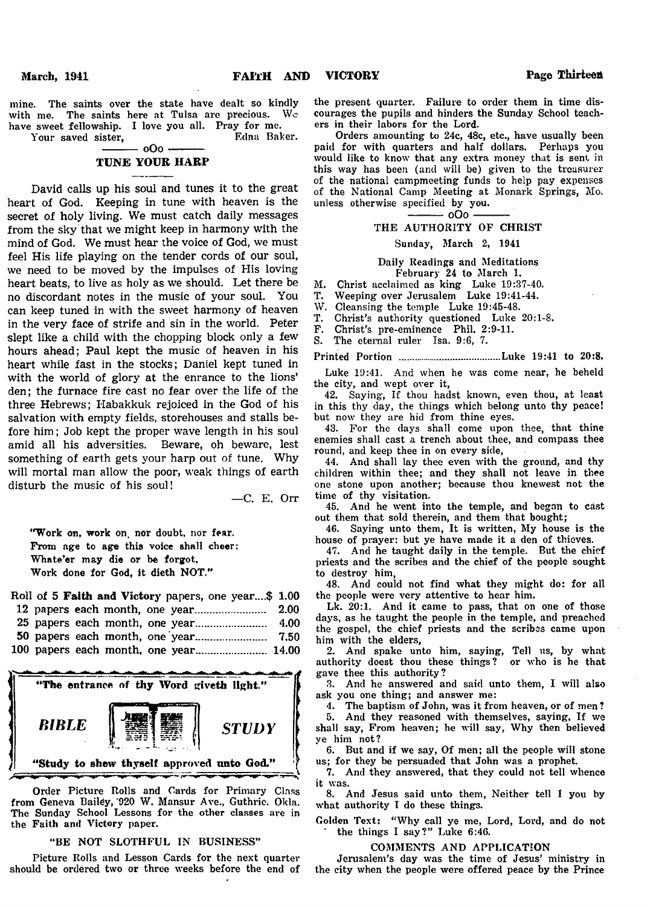mine. The saints over the state have dealt so kindly with me. The saints here at Tulsa are precious. We have sweet fellowship. I love you all. Pray for me.

Your saved sister,

# $-000 -$ TUNE YOUR HARP

David calls up his soul and tunes it to the great heart of God. Keeping in tune with heaven is the secret of holy living. We must catch daily messages from the sky that we might keep in harmony with the mind of God. We must hear the voice of God, we must feel His life playing on the tender cords of our soul, we need to be moved by the impulses of His loving heart beats, to live as holy as we should. Let there be no discordant notes in the music of your soul. You can keep tuned in with the sweet harmony of heaven in the very face of strife and sin in the world. Peter slept like a child with the chopping block only a few hours ahead; Paul kept the music of heaven in his heart while fast in the stocks; Daniel kept tuned in with the world of glory at the enrance to the lions' den; the furnace fire cast no fear over the life of the three Hebrews; Habakkuk rejoiced in the God of his salvation with empty fields, storehouses and stalls before him; Job kept the proper wave length in his soul amid all his adversities. Beware, oh beware, lest something of earth gets your harp out of tune. Why will mortal man allow the poor, weak things of earth disturb the music of his soul!

—C. E. Orr

"Work on, work on, nor doubt, nor fear. From age to age this voice shall cheer: Whate'er may die or be forgot. Work done for God, it dieth NOT."

|  |  |  | Roll of 5 Faith and Victory papers, one year\$ 1.00 |  |
|--|--|--|-----------------------------------------------------|--|
|  |  |  |                                                     |  |
|  |  |  |                                                     |  |
|  |  |  |                                                     |  |
|  |  |  |                                                     |  |



Order Picture Rolls and Cards for Primary Class from Geneva Bailey, '920 W. Mansur Ave., Guthrie. Okla. The Sunday School Lessons for the other classes ave in the Faith and Victory paper.

# "BE NOT SLOTHFUL IN BUSINESS"

Picture Rolls and Lesson Cards for the next quarter should be ordered two or three weeks before the end of the present quarter. Failure to order them in time discourages the pupils and hinders the Sunday School teachers in their labors for the Lord.

Orders amounting to 24c, 48c, etc., have usually been paid for with quarters and half dollars. Perhaps you would like to know that any extra money that is sent in this way has been (and will be) given to the treasurer of the national campmeeting funds to help pay expenses of the National Camp Meeting at Monark Springs, Mo. unless otherwise specified by you.

> $-000$   $-$ THE AUTHORITY OF CHRIST

# Sunday, March 2, 1941

Daily Readings and Meditations February 24 to March 1.

M. Christ acclaimed as king Luke 19:37-40.

- T. Weeping over Jerusalem Luke 19:41-44.
- W. Cleansing the temple Luke 19:45-48.<br>T. Christ's authority questioned Luke
- T. Christ's authority questioned Luke 20:1-8.
- F. Christ's pre-eminence Phil. 2:9-11.<br>S. The eternal ruler Isa. 9:6, 7.
	- The eternal ruler Isa. 9:6, 7.

Printed Portion ..................................... Luke 19:41 to 20:8.

Luke 19:41. And when he was come near, he beheld the city, and wept over it,

42. Saying, If thou hadst known, even thou, at least in this thy day, the things which belong unto thy peace! but now they are hid from thine eyes.

43. For the days shall come upon thee, that thine enemies shall cast a trench about thee, and compass thee round, and keep thee in on every side,

44. And shall lay thee even with the ground, and thy children within thee; and they shall not leave in thee one stone upon another; because thou knewest not the time of thy visitation.

45. And he went into the temple, and began to cast out them that sold therein, and them that bought;

46. Saying unto them, It is written, My house is the house of prayer: but ye have made it a den of thieves.

47. And he taught daily in the temple. But the chief priests and the scribes and the chief of the people sought to destroy him,

48. And could not find what they might do: for all the people were very attentive to hear him.

Lk. 20:1. And it came to pass, that on one of those days, as he taught the people in the temple, and preached the gospel, the chief priests and the scribes came upon him with the elders,

2. And spake unto him, saying, Tell us, by what authority doest thou these things? or who is he that gave thee this authority?

3. And he answered and said unto them, I will also ask you one thing; and answer me:

4. The baptism of John, was it from heaven, or of men? 5. And they reasoned with themselves, saying, If we shall say, From heaven; he will say, Why then believed ye him not?

6. But and if we say, Of men; all the people will stone us; for they be persuaded that John was a prophet.

7. And they answered, that they could not tell whence it was.

8. And Jesus said unto them, Neither tell I you by what authority I do these things.

Golden Text: "Why call ye me, Lord, Lord, and do not the things I say?" Luke 6:46.

## COMMENTS AND APPLICATION

Jerusalem's day was the time of Jesus' ministry in the city when the people were offered peace by the Prince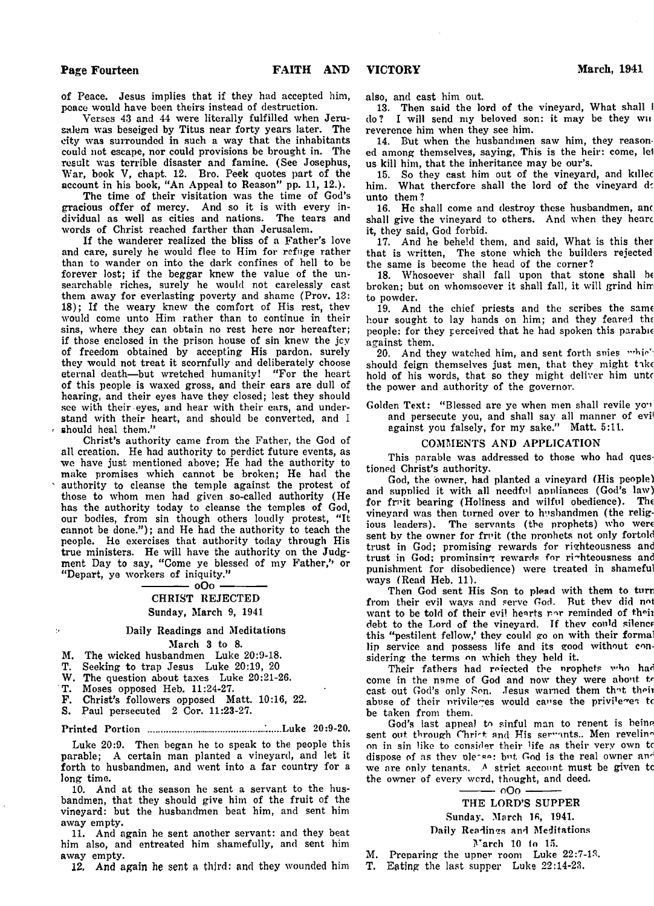of Peace. Jesus implies that if they had accepted him, peace would have been theirs instead of destruction.

Verses 43 and 44 were literally fulfilled when Jerusalem was beseiged by Titus near forty years later. The city was surrounded in such a way that the inhabitants could not escape, nor could provisions be brought in. The result was terrible disaster and famine. (See Josephus, War, book V, chapt. 12. Bro. Peek quotes part of the account in his book, "An Appeal to Reason" pp. 11, 12.).

The time of their visitation was the time of God's gracious offer of mercy. And so it is with every individual as well as cities and nations. The tears and words of Christ reached farther than Jerusalem.

If the wanderer realized the bliss of a Father's love and care, surely he would flee to Him for refuge rather than to wander on into the dark confines of hell to be forever lost; if the beggar knew the value of the unsearchable riches, surely he would not carelessly cast them away for everlasting poverty and shame (Prov.  $13:$ 18); If the weary knew the comfort of His rest, thev would come unto Him rather than to continue in their sins, where they can obtain no rest here nor hereafter; if those enclosed in the prison house of sin knew the jcy of freedom obtained by accepting His pardon, surely they would not treat it scornfully and deliberately choose eternal death-but wretched humanity! "For the heart of this people is waxed gross, and their ears are dull of hearing, and their eyes have they closed; lest they should see with their eyes, and hear with their ears, and understand with their heart, and should be converted, and I should heal them.'

Christ's authority came from the Father, the God of all creation. He had authority to perdict future events, as we have just mentioned above; He had the authority to make promises which cannot be broken; He had the authority to cleanse the temple against the protest of those to whom men had given so-called authority (He has the authority today to cleanse the temples of God, our bodies, from sin though others loudly protest, "It cannot be done."); and He had the authority to teach the people. He exercises that authority today through His true ministers. He will have the authority on the Judgment Day to say, "Come ye blessed of my Father," or " Depart, ye workers of iniquity."

 $-0.00$ 

# CHRIST REJECTED Sunday, March 9, 1941

# Daily Readings and Meditations

## March 3 to 8.

M. The wicked husbandmen Luke 20:9-18.

T. Seeking to trap Jesus Luke 20:19, 20

W. The question about taxes Luke 20:21-26.

T. Moses opposed Heb. 11:24-27.

 $\bar{\mathcal{V}}$ 

F. Christ's followers opposed Matt. 10:16, 22.

S. Paul persecuted 2 Cor. 11:23-27.

Printed Portion .................................................Luke 20:9-20.

Luke 20:9. Then began he to speak to the people this parable; A certain man planted a vineyard, and let it forth to husbandmen, and went into a far country for a long time.

10. And at the season he sent a servant to the husbandmen, that they should give him of the fruit of the vineyard: but the husbandmen beat him, and sent him away empty.

11. And again he sent another servant: and they beat him also, and entreated him shamefully, and sent him away empty.

12. And again he sent a third: and they wounded him

also, and cast him out.

13. Then said the lord of the vineyard, What shall I do? I will send my beloved son: it may be they wn reverence him when they see him.

14. But when the husbandmen saw him, they reasoned among themselves, saying, This is the heir: come, lei us kill him, that the inheritance may be our's.

15. So they cast him out of the vineyard, and killec him. What therefore shall the lord of the vineyard do unto them?

16. He shall come and destroy these husbandmen, anc shall give the vineyard to ethers. And when they hearc it, they said, God forbid.

17. And he beheld them, and said, What is this ther that is written, The stone which the builders rejected the same is become the head of the corner?

18. Whosoever shall fall upon that stone shall be broken; but on whomsoever it shall fall, it will grind him to powder.

19. And the chief priests and the scribes the same hour sought to lay hands on him; and they feared the people: for they perceived that he had spoken this parable against them.

20. And they watched him, and sent forth snies which should feign themselves just men, that they might take hold of his words, that so they might deliver him unto the power and authority of the governor.

Golden Text: "Blessed are ye when men shall revile you and persecute you, and shall say all manner of evil against you falsely, for my sake." Matt. 5:11.

## COMMENTS AND APPLICATION

This parable was addressed to those who had questioned Christ's authority.

God, the owner, had planted a vineyard (His people) and supplied it with all needful appliances (God's law)<br>for fruit bearing (Holiness and wilful obedience). The for fruit bearing (Holiness and wilful obedience). vineyard was then turned over to husbandmen (the religious leaders). The servants (the prophets) who were sent by the owner for fruit (the prophets not only fortold trust in God; promising rewards for righteousness and trust in God; prominsing rewards for righteousness and punishment for disobedience) were treated in shameful ways (Read Heb. 11).

Then God sent His Son to plead with them to turn from their evil ways and serve God. But they did not want to be told of their evil hearts nor reminded of their debt to the Lord of the vineyard. If they could silence this "pestilent fellow,' they could go on with their formal lip service and possess life and its good without considering the terms on which they held it.

Their fathers had roiected the nrophets who had come in the name of God and now they were about tr cast out God's only Son. Jesus warned them that their abuse of their privileges would cause the privileges to be taken from them.

God's last appeal to sinful man to repent is being sent out through Christ and His servants.. Men reveling on in sin like to consider their life as their very own to dispose of as they pleeso: but, God is the real owner and we are only tenants. *A* strict account must be given tc the owner of every word, thought, and deed.

-- oOo

# THE LORD'S SUPPER

Sunday, March 16, 1941.

# Daily Readings and Meditations

March 10 to 15.

M. Preparing the upper room Luke 22:7-13.

T. Eating the last supper Luke 22:14-23.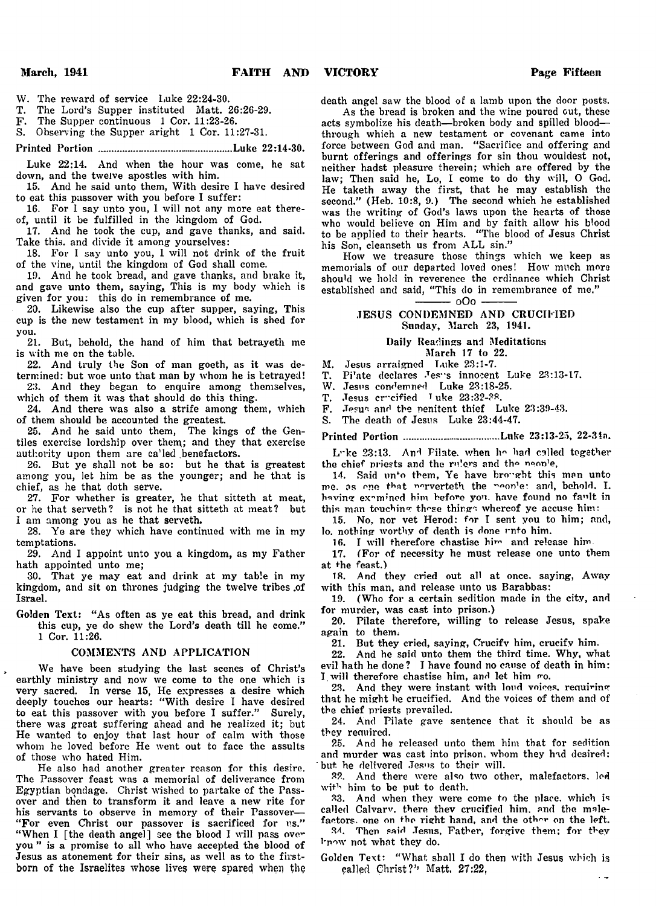W. The reward of service Luke 22:24-30.

T. The Lord's Supper instituted Matt. 26:26-29.

F. The Supper continuous 1 Cor. 11:23-26.

S. Observing the Supper aright 1 Cor. 11:27-31.

Printed Portion ..................................................Luke 22:14-30.

Luke 22:14. And when the hour was come, he sat down, and the twelve apostles with him.

15. And he said unto them, With desire I have desired to eat this passover with you before I suffer:

16. For I say unto you, I will not any more eat thereof, until it be fulfilled in the kingdom of God.

17. And he took the cup, and gave thanks, and said. Take this, and divide it among yourselves:

18. For I say unto you, 1 will not drink of the fruit of the vine, until the kingdom of God shall come.

19. And he took bread, and gave thanks, and brake it, and gave unto them, saying, This is my body which is given for you: this do in remembrance of me.

20. Likewise also the cup after supper, saying, This cup is the new testament in my blood, which is shed for you.

21. But, behold, the hand of him that betrayeth me is with me on the table.

22. And truly the Son of man goeth, as it was determined: but woe unto that man by whom he is tetrayed! 23. And they began to enquire among themselves,

which of them it was that should do this thing. 24. And there was also a strife among them, which

of them should be accounted the greatest.

25. And he said unto them, The kings of the Gentiles exercise lordship over them; and they that exercise authority upon them are ca'led benefactors.

26. But ye shall not be so: but he that is greatest among you, let him be as the younger; and he that is chief, as he that doth serve.

27. For whether is greater, he that sitteth at meat, or he that serveth? is not he that sitteth at meat? but I am among you as he that serveth.

28. Ye are they which have continued with me in my temptations.

29. And I appoint unto you a kingdom, as my Father hath appointed unto me;

30. That ye may eat and drink at my table in my kingdom, and sit on thrones judging the twelve tribes .of Israel.

Golden Text: "As often as ye eat this bread, and drink this cup, ye do shew the Lord's death till he come." 1 Cor. 11:26.

### COMMENTS AND APPLICATION

We have been studying the last scenes of Christ's earthly ministry and now we come to the one which is very sacred. In verse 15, He expresses a desire which deeply touches our hearts: " With desire I have desired to eat this passover with you before I suffer." Surely, there was great suffering ahead and he realized it; but He wanted to enjoy that last hour of calm with those whom he loved before He went out to face the assults of those who hated Him.

He also had another greater reason for this desire. The Passover feast was a memorial of deliverance from Egyptian bondage. Christ wished to partake of the Passover and then to transform it and leave a new rite for his servants to observe in memory of their Passover— "For even Christ our passover is sacrificed for us." "When I [the death angel] see the blood I will pass over you " is a promise to all who have accepted the blood of Jesus as atonement for their sins, as well as to the firstborn of the Israelites whose lives were spared when the death angel saw the blood of a lamb upon the door posts.

As the bread is broken and the wine poured out, these acts symbolize his death— broken body and spilled blood through which a new testament or covenant came into force between God and man. " Sacrifice and offering and burnt offerings and offerings for sin thou wouldest not, neither hadst pleasure therein; which are offered by the law; Then said he, Lo, I come to do thy will, O God. He taketh away the first, that he may establish the second." (Heb. 10:8, 9.) The second which he established was the writing of God's laws upon the hearts of those who would believe on Him and by faith allow his blood to be applied to their hearts. " The blood of Jesus Christ his Son, cleanseth us from ALL sin."

How we treasure those things which we keep as memorials of our departed loved ones! How' much more should we hold in reverence the ordinance which Christ established and said, "This do in remembrance of me." - 000 -

## JESUS CONDEMNED AND CRUCIFIED Sunday, March 23, 1941.

## Daily Readings and Meditations March 17 to 22.

M. Jesus arraigned Luke 23:1-7.

T. Pi'ate declares Jes innocent Luke 23:13-17.<br>W. Jesus condemned Luke 23:18-25.

Jesus condemned Luke 23:18-25.

T. Jesus crucified I uke  $23:32-38$ .<br>F. Jesus and the penitent thief L

F. Jesus and the penitent thief Luke 23:39-43.

S. The death of Jesus Luke 23:44-47.

Printed Portion ................................... Luke 23:13-23, 22-34n.

Loke 23:13. And Pilate, when he had called together the chief priests and the rulers and the neonle,

14. Said unto them, Ye have brought this man unto me. as one that norverteth the noonlet and, behold. I. having examined him before you. have found no fault in this man touching those things whereof ye accuse him:

15. No, nor vet Herod: for I sent you to him; and, lo. nothing worthy of death is done unto him.

16. I will therefore chastise hi™ and release him

17. (For of necessity he must release one unto them at +he feast.)

18. And they cried out all at once, saying, Away with this man, and release unto us Barabbas:

19. (Who for a certain sedition made in the city, and for murder, was cast into prison.)

20. Pilate therefore, willing to release Jesus, spake again to them.

21. But they cried, saying, Crucifv him, crucify him.

22. And he said unto them the third time. Why, what evil hath he done? I have found no cause of death in him: I will therefore chastise him, and let him go.

23. And they were instant with loud voices, requiring that he might be crucified. And the voices of them and of the chief priests prevailed.

24. And Pilate gave sentence that it should be as they required.

25. And he released unto them him that for sedition and murder was cast into prison, whom they had desired; but he delivered Jesus to their will.

32. And there were also two other, malefactors, led with him to be put to death.

2.3. And when they were come to the place, which is called Calvarv. there thev crucified him. and the malefactors, one on the right hand, and the other on the left.

34. Then said Jesus, Father, forgive them: for they know not what they do.

Golden Text: " What shall I do then with Jesus which is called Christ?'' Matt. 27:22,